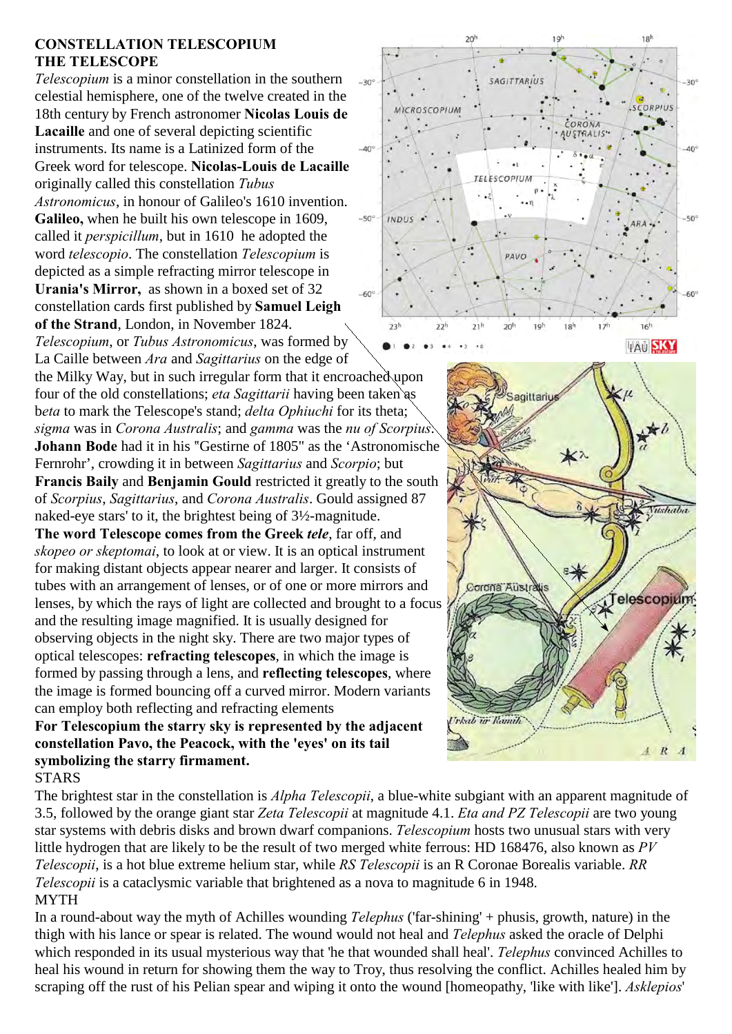## **CONSTELLATION TELESCOPIUM THE TELESCOPE**

*Telescopium* is a minor constellation in the southern celestial hemisphere, one of the twelve created in the 18th century by French astronomer **Nicolas Louis de Lacaille** and one of several depicting scientific instruments. Its name is a Latinized form of the Greek word for telescope. **Nicolas-Louis de Lacaille** originally called this constellation *Tubus Astronomicus*, in honour of Galileo's 1610 invention. **Galileo,** when he built his own telescope in 1609, called it *perspicillum*, but in 1610 he adopted the word *telescopio*. The constellation *Telescopium* is depicted as a simple refracting mirror telescope in **Urania's Mirror,** as shown in a boxed set of 32 constellation cards first published by **Samuel Leigh of the Strand**, London, in November 1824.

*Telescopium*, or *Tubus Astronomicus*, was formed by La Caille between *Ara* and *Sagittarius* on the edge of

the Milky Way, but in such irregular form that it encroached upon four of the old constellations; *eta Sagittarii* having been taken as b*eta* to mark the Telescope's stand; *delta Ophiuchi* for its theta; *sigma* was in *Corona Australis*; and *gamma* was the *nu of Scorpius*. **Johann Bode** had it in his "Gestirne of 1805" as the 'Astronomische Fernrohr', crowding it in between *Sagittarius* and *Scorpio*; but **Francis Baily** and **Benjamin Gould** restricted it greatly to the south of *Scorpius*, *Sagittarius*, and *Corona Australis*. Gould assigned 87 naked-eye stars' to it, the brightest being of 3½-magnitude.

**The word Telescope comes from the Greek** *tele*, far off, and *skopeo or skeptomai*, to look at or view. It is an optical instrument for making distant objects appear nearer and larger. It consists of tubes with an arrangement of lenses, or of one or more mirrors and lenses, by which the rays of light are collected and brought to a focus and the resulting image magnified. It is usually designed for observing objects in the night sky. There are two major types of optical telescopes: **refracting telescopes**, in which the image is formed by passing through a lens, and **reflecting telescopes**, where the image is formed bouncing off a curved mirror. Modern variants can employ both reflecting and refracting elements

**For Telescopium the starry sky is represented by the adjacent constellation Pavo, the Peacock, with the 'eyes' on its tail symbolizing the starry firmament.** 

## **STARS**

The brightest star in the constellation is *Alpha Telescopii*, a blue-white subgiant with an apparent magnitude of 3.5, followed by the orange giant star *Zeta Telescopii* at magnitude 4.1. *Eta and PZ Telescopii* are two young star systems with debris disks and brown dwarf companions. *Telescopium* hosts two unusual stars with very little hydrogen that are likely to be the result of two merged white ferrous: HD 168476, also known as *PV Telescopii*, is a hot blue extreme helium star, while *RS Telescopii* is an R Coronae Borealis variable. *RR Telescopii* is a cataclysmic variable that brightened as a nova to magnitude 6 in 1948. MYTH

In a round-about way the myth of Achilles wounding *Telephus* ('far-shining' + phusis, growth, nature) in the thigh with his lance or spear is related. The wound would not heal and *Telephus* asked the oracle of Delphi which responded in its usual mysterious way that 'he that wounded shall heal'. *Telephus* convinced Achilles to heal his wound in return for showing them the way to Troy, thus resolving the conflict. Achilles healed him by scraping off the rust of his Pelian spear and wiping it onto the wound [homeopathy, 'like with like']. *Asklepios*'